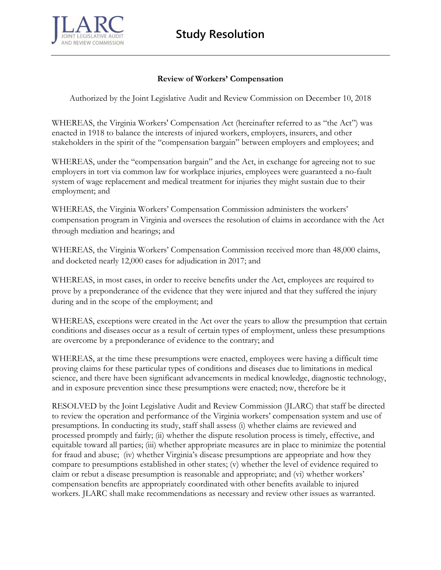**Study Resolution**



## **Review of Workers' Compensation**

Authorized by the Joint Legislative Audit and Review Commission on December 10, 2018

WHEREAS, the Virginia Workers' Compensation Act (hereinafter referred to as "the Act") was enacted in 1918 to balance the interests of injured workers, employers, insurers, and other stakeholders in the spirit of the "compensation bargain" between employers and employees; and

WHEREAS, under the "compensation bargain" and the Act, in exchange for agreeing not to sue employers in tort via common law for workplace injuries, employees were guaranteed a no-fault system of wage replacement and medical treatment for injuries they might sustain due to their employment; and

WHEREAS, the Virginia Workers' Compensation Commission administers the workers' compensation program in Virginia and oversees the resolution of claims in accordance with the Act through mediation and hearings; and

WHEREAS, the Virginia Workers' Compensation Commission received more than 48,000 claims, and docketed nearly 12,000 cases for adjudication in 2017; and

WHEREAS, in most cases, in order to receive benefits under the Act, employees are required to prove by a preponderance of the evidence that they were injured and that they suffered the injury during and in the scope of the employment; and

WHEREAS, exceptions were created in the Act over the years to allow the presumption that certain conditions and diseases occur as a result of certain types of employment, unless these presumptions are overcome by a preponderance of evidence to the contrary; and

WHEREAS, at the time these presumptions were enacted, employees were having a difficult time proving claims for these particular types of conditions and diseases due to limitations in medical science, and there have been significant advancements in medical knowledge, diagnostic technology, and in exposure prevention since these presumptions were enacted; now, therefore be it

RESOLVED by the Joint Legislative Audit and Review Commission (JLARC) that staff be directed to review the operation and performance of the Virginia workers' compensation system and use of presumptions. In conducting its study, staff shall assess (i) whether claims are reviewed and processed promptly and fairly; (ii) whether the dispute resolution process is timely, effective, and equitable toward all parties; (iii) whether appropriate measures are in place to minimize the potential for fraud and abuse; (iv) whether Virginia's disease presumptions are appropriate and how they compare to presumptions established in other states; (v) whether the level of evidence required to claim or rebut a disease presumption is reasonable and appropriate; and (vi) whether workers' compensation benefits are appropriately coordinated with other benefits available to injured workers. JLARC shall make recommendations as necessary and review other issues as warranted.